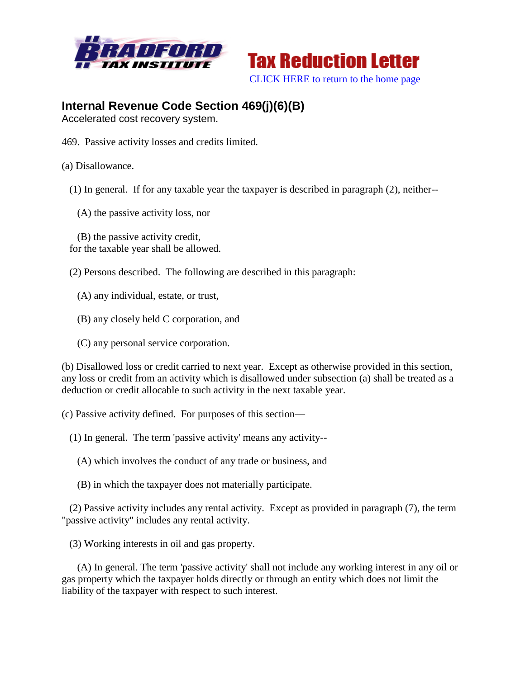



## **Internal Revenue Code Section 469(j)(6)(B)**

Accelerated cost recovery system.

- 469. Passive activity losses and credits limited.
- (a) Disallowance.
	- (1) In general. If for any taxable year the taxpayer is described in paragraph (2), neither--
		- (A) the passive activity loss, nor

 (B) the passive activity credit, for the taxable year shall be allowed.

- (2) Persons described. The following are described in this paragraph:
	- (A) any individual, estate, or trust,
	- (B) any closely held C corporation, and
	- (C) any personal service corporation.

(b) Disallowed loss or credit carried to next year. Except as otherwise provided in this section, any loss or credit from an activity which is disallowed under subsection (a) shall be treated as a deduction or credit allocable to such activity in the next taxable year.

(c) Passive activity defined. For purposes of this section—

- (1) In general. The term 'passive activity' means any activity--
	- (A) which involves the conduct of any trade or business, and
	- (B) in which the taxpayer does not materially participate.

 (2) Passive activity includes any rental activity. Except as provided in paragraph (7), the term "passive activity" includes any rental activity.

(3) Working interests in oil and gas property.

 (A) In general. The term 'passive activity' shall not include any working interest in any oil or gas property which the taxpayer holds directly or through an entity which does not limit the liability of the taxpayer with respect to such interest.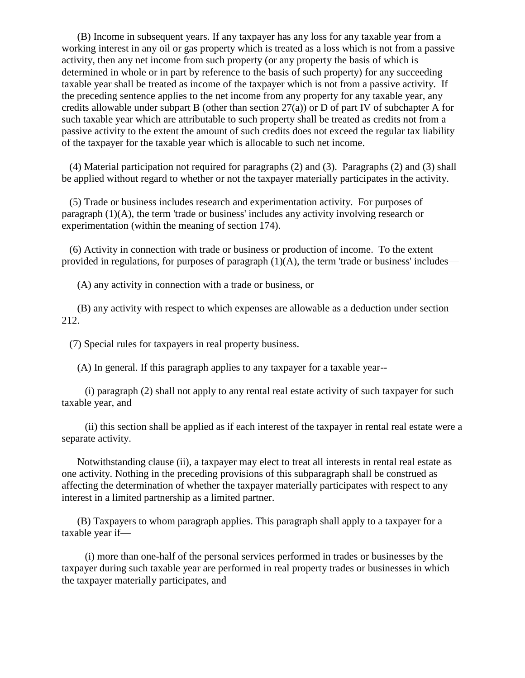(B) Income in subsequent years. If any taxpayer has any loss for any taxable year from a working interest in any oil or gas property which is treated as a loss which is not from a passive activity, then any net income from such property (or any property the basis of which is determined in whole or in part by reference to the basis of such property) for any succeeding taxable year shall be treated as income of the taxpayer which is not from a passive activity. If the preceding sentence applies to the net income from any property for any taxable year, any credits allowable under subpart B (other than section  $27(a)$ ) or D of part IV of subchapter A for such taxable year which are attributable to such property shall be treated as credits not from a passive activity to the extent the amount of such credits does not exceed the regular tax liability of the taxpayer for the taxable year which is allocable to such net income.

 (4) Material participation not required for paragraphs (2) and (3). Paragraphs (2) and (3) shall be applied without regard to whether or not the taxpayer materially participates in the activity.

 (5) Trade or business includes research and experimentation activity. For purposes of paragraph (1)(A), the term 'trade or business' includes any activity involving research or experimentation (within the meaning of section 174).

 (6) Activity in connection with trade or business or production of income. To the extent provided in regulations, for purposes of paragraph  $(1)(A)$ , the term 'trade or business' includes—

(A) any activity in connection with a trade or business, or

 (B) any activity with respect to which expenses are allowable as a deduction under section 212.

(7) Special rules for taxpayers in real property business.

(A) In general. If this paragraph applies to any taxpayer for a taxable year--

 (i) paragraph (2) shall not apply to any rental real estate activity of such taxpayer for such taxable year, and

 (ii) this section shall be applied as if each interest of the taxpayer in rental real estate were a separate activity.

 Notwithstanding clause (ii), a taxpayer may elect to treat all interests in rental real estate as one activity. Nothing in the preceding provisions of this subparagraph shall be construed as affecting the determination of whether the taxpayer materially participates with respect to any interest in a limited partnership as a limited partner.

 (B) Taxpayers to whom paragraph applies. This paragraph shall apply to a taxpayer for a taxable year if—

 (i) more than one-half of the personal services performed in trades or businesses by the taxpayer during such taxable year are performed in real property trades or businesses in which the taxpayer materially participates, and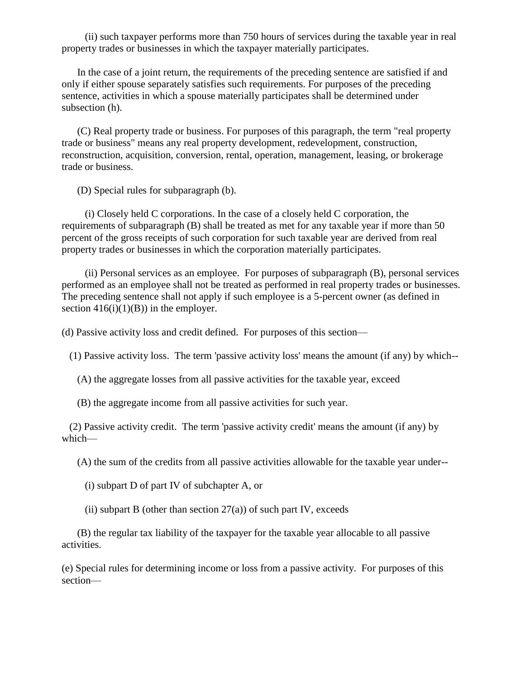(ii) such taxpayer performs more than 750 hours of services during the taxable year in real property trades or businesses in which the taxpayer materially participates.

 In the case of a joint return, the requirements of the preceding sentence are satisfied if and only if either spouse separately satisfies such requirements. For purposes of the preceding sentence, activities in which a spouse materially participates shall be determined under subsection (h).

 (C) Real property trade or business. For purposes of this paragraph, the term "real property trade or business" means any real property development, redevelopment, construction, reconstruction, acquisition, conversion, rental, operation, management, leasing, or brokerage trade or business.

(D) Special rules for subparagraph (b).

 (i) Closely held C corporations. In the case of a closely held C corporation, the requirements of subparagraph (B) shall be treated as met for any taxable year if more than 50 percent of the gross receipts of such corporation for such taxable year are derived from real property trades or businesses in which the corporation materially participates.

 (ii) Personal services as an employee. For purposes of subparagraph (B), personal services performed as an employee shall not be treated as performed in real property trades or businesses. The preceding sentence shall not apply if such employee is a 5-percent owner (as defined in section  $416(i)(1)(B)$  in the employer.

(d) Passive activity loss and credit defined. For purposes of this section—

(1) Passive activity loss. The term 'passive activity loss' means the amount (if any) by which--

(A) the aggregate losses from all passive activities for the taxable year, exceed

(B) the aggregate income from all passive activities for such year.

 (2) Passive activity credit. The term 'passive activity credit' means the amount (if any) by which—

(A) the sum of the credits from all passive activities allowable for the taxable year under--

(i) subpart D of part IV of subchapter A, or

(ii) subpart B (other than section  $27(a)$ ) of such part IV, exceeds

 (B) the regular tax liability of the taxpayer for the taxable year allocable to all passive activities.

(e) Special rules for determining income or loss from a passive activity. For purposes of this section—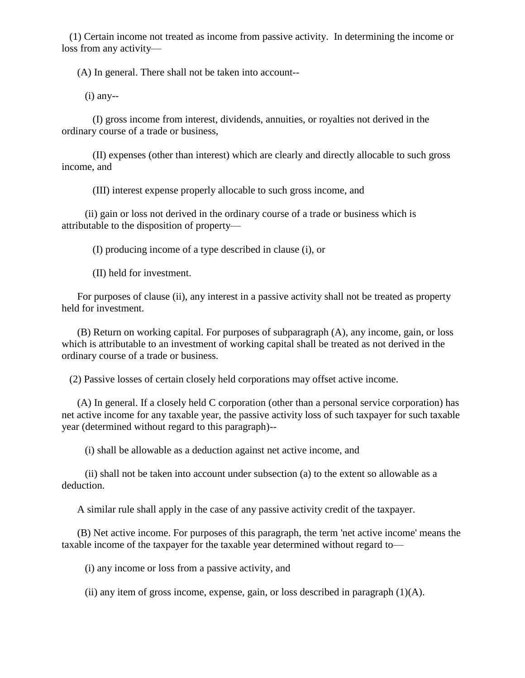(1) Certain income not treated as income from passive activity. In determining the income or loss from any activity—

(A) In general. There shall not be taken into account--

 $(i)$  any--

 (I) gross income from interest, dividends, annuities, or royalties not derived in the ordinary course of a trade or business,

 (II) expenses (other than interest) which are clearly and directly allocable to such gross income, and

(III) interest expense properly allocable to such gross income, and

 (ii) gain or loss not derived in the ordinary course of a trade or business which is attributable to the disposition of property—

(I) producing income of a type described in clause (i), or

(II) held for investment.

 For purposes of clause (ii), any interest in a passive activity shall not be treated as property held for investment.

 (B) Return on working capital. For purposes of subparagraph (A), any income, gain, or loss which is attributable to an investment of working capital shall be treated as not derived in the ordinary course of a trade or business.

(2) Passive losses of certain closely held corporations may offset active income.

 (A) In general. If a closely held C corporation (other than a personal service corporation) has net active income for any taxable year, the passive activity loss of such taxpayer for such taxable year (determined without regard to this paragraph)--

(i) shall be allowable as a deduction against net active income, and

 (ii) shall not be taken into account under subsection (a) to the extent so allowable as a deduction.

A similar rule shall apply in the case of any passive activity credit of the taxpayer.

 (B) Net active income. For purposes of this paragraph, the term 'net active income' means the taxable income of the taxpayer for the taxable year determined without regard to—

(i) any income or loss from a passive activity, and

(ii) any item of gross income, expense, gain, or loss described in paragraph  $(1)(A)$ .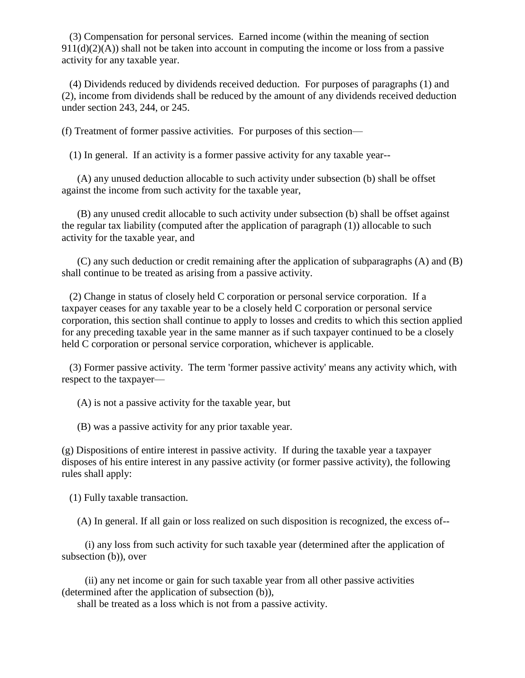(3) Compensation for personal services. Earned income (within the meaning of section  $911(d)(2)(A)$ ) shall not be taken into account in computing the income or loss from a passive activity for any taxable year.

 (4) Dividends reduced by dividends received deduction. For purposes of paragraphs (1) and (2), income from dividends shall be reduced by the amount of any dividends received deduction under section 243, 244, or 245.

(f) Treatment of former passive activities. For purposes of this section—

(1) In general. If an activity is a former passive activity for any taxable year--

 (A) any unused deduction allocable to such activity under subsection (b) shall be offset against the income from such activity for the taxable year,

 (B) any unused credit allocable to such activity under subsection (b) shall be offset against the regular tax liability (computed after the application of paragraph (1)) allocable to such activity for the taxable year, and

 (C) any such deduction or credit remaining after the application of subparagraphs (A) and (B) shall continue to be treated as arising from a passive activity.

 (2) Change in status of closely held C corporation or personal service corporation. If a taxpayer ceases for any taxable year to be a closely held C corporation or personal service corporation, this section shall continue to apply to losses and credits to which this section applied for any preceding taxable year in the same manner as if such taxpayer continued to be a closely held C corporation or personal service corporation, whichever is applicable.

 (3) Former passive activity. The term 'former passive activity' means any activity which, with respect to the taxpayer—

(A) is not a passive activity for the taxable year, but

(B) was a passive activity for any prior taxable year.

(g) Dispositions of entire interest in passive activity. If during the taxable year a taxpayer disposes of his entire interest in any passive activity (or former passive activity), the following rules shall apply:

(1) Fully taxable transaction.

(A) In general. If all gain or loss realized on such disposition is recognized, the excess of--

 (i) any loss from such activity for such taxable year (determined after the application of subsection (b)), over

 (ii) any net income or gain for such taxable year from all other passive activities (determined after the application of subsection (b)),

shall be treated as a loss which is not from a passive activity.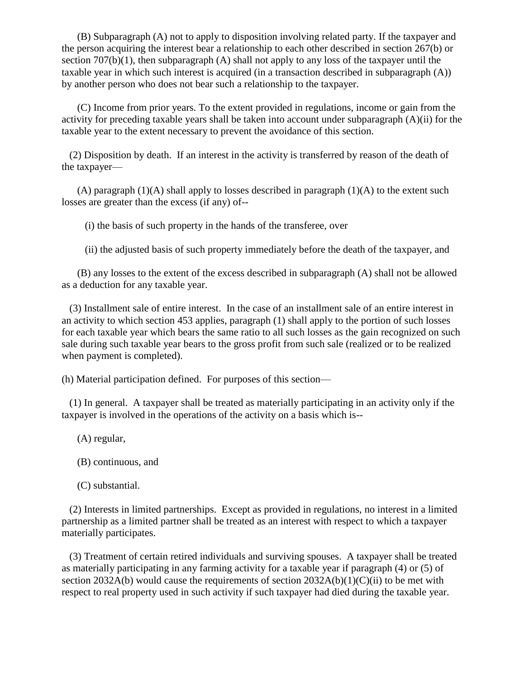(B) Subparagraph (A) not to apply to disposition involving related party. If the taxpayer and the person acquiring the interest bear a relationship to each other described in section 267(b) or section  $707(b)(1)$ , then subparagraph (A) shall not apply to any loss of the taxpayer until the taxable year in which such interest is acquired (in a transaction described in subparagraph (A)) by another person who does not bear such a relationship to the taxpayer.

 (C) Income from prior years. To the extent provided in regulations, income or gain from the activity for preceding taxable years shall be taken into account under subparagraph (A)(ii) for the taxable year to the extent necessary to prevent the avoidance of this section.

 (2) Disposition by death. If an interest in the activity is transferred by reason of the death of the taxpayer—

(A) paragraph  $(1)(A)$  shall apply to losses described in paragraph  $(1)(A)$  to the extent such losses are greater than the excess (if any) of--

(i) the basis of such property in the hands of the transferee, over

(ii) the adjusted basis of such property immediately before the death of the taxpayer, and

 (B) any losses to the extent of the excess described in subparagraph (A) shall not be allowed as a deduction for any taxable year.

 (3) Installment sale of entire interest. In the case of an installment sale of an entire interest in an activity to which section 453 applies, paragraph (1) shall apply to the portion of such losses for each taxable year which bears the same ratio to all such losses as the gain recognized on such sale during such taxable year bears to the gross profit from such sale (realized or to be realized when payment is completed).

(h) Material participation defined. For purposes of this section—

 (1) In general. A taxpayer shall be treated as materially participating in an activity only if the taxpayer is involved in the operations of the activity on a basis which is--

(A) regular,

(B) continuous, and

(C) substantial.

 (2) Interests in limited partnerships. Except as provided in regulations, no interest in a limited partnership as a limited partner shall be treated as an interest with respect to which a taxpayer materially participates.

 (3) Treatment of certain retired individuals and surviving spouses. A taxpayer shall be treated as materially participating in any farming activity for a taxable year if paragraph (4) or (5) of section 2032A(b) would cause the requirements of section  $2032A(b)(1)(C)(ii)$  to be met with respect to real property used in such activity if such taxpayer had died during the taxable year.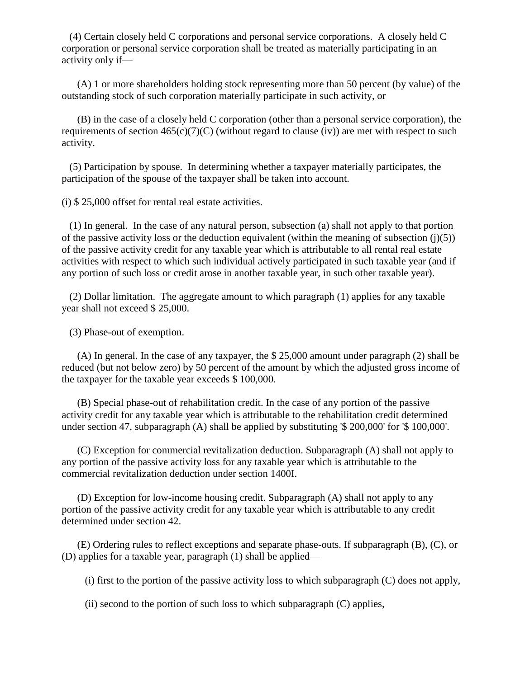(4) Certain closely held C corporations and personal service corporations. A closely held C corporation or personal service corporation shall be treated as materially participating in an activity only if—

 (A) 1 or more shareholders holding stock representing more than 50 percent (by value) of the outstanding stock of such corporation materially participate in such activity, or

 (B) in the case of a closely held C corporation (other than a personal service corporation), the requirements of section  $465(c)(7)(C)$  (without regard to clause (iv)) are met with respect to such activity.

 (5) Participation by spouse. In determining whether a taxpayer materially participates, the participation of the spouse of the taxpayer shall be taken into account.

(i) \$ 25,000 offset for rental real estate activities.

 (1) In general. In the case of any natural person, subsection (a) shall not apply to that portion of the passive activity loss or the deduction equivalent (within the meaning of subsection  $(j)(5)$ ) of the passive activity credit for any taxable year which is attributable to all rental real estate activities with respect to which such individual actively participated in such taxable year (and if any portion of such loss or credit arose in another taxable year, in such other taxable year).

 (2) Dollar limitation. The aggregate amount to which paragraph (1) applies for any taxable year shall not exceed \$ 25,000.

(3) Phase-out of exemption.

 (A) In general. In the case of any taxpayer, the \$ 25,000 amount under paragraph (2) shall be reduced (but not below zero) by 50 percent of the amount by which the adjusted gross income of the taxpayer for the taxable year exceeds \$ 100,000.

 (B) Special phase-out of rehabilitation credit. In the case of any portion of the passive activity credit for any taxable year which is attributable to the rehabilitation credit determined under section 47, subparagraph (A) shall be applied by substituting '\$ 200,000' for '\$ 100,000'.

 (C) Exception for commercial revitalization deduction. Subparagraph (A) shall not apply to any portion of the passive activity loss for any taxable year which is attributable to the commercial revitalization deduction under section 1400I.

 (D) Exception for low-income housing credit. Subparagraph (A) shall not apply to any portion of the passive activity credit for any taxable year which is attributable to any credit determined under section 42.

 (E) Ordering rules to reflect exceptions and separate phase-outs. If subparagraph (B), (C), or (D) applies for a taxable year, paragraph (1) shall be applied—

(i) first to the portion of the passive activity loss to which subparagraph  $(C)$  does not apply,

(ii) second to the portion of such loss to which subparagraph  $(C)$  applies,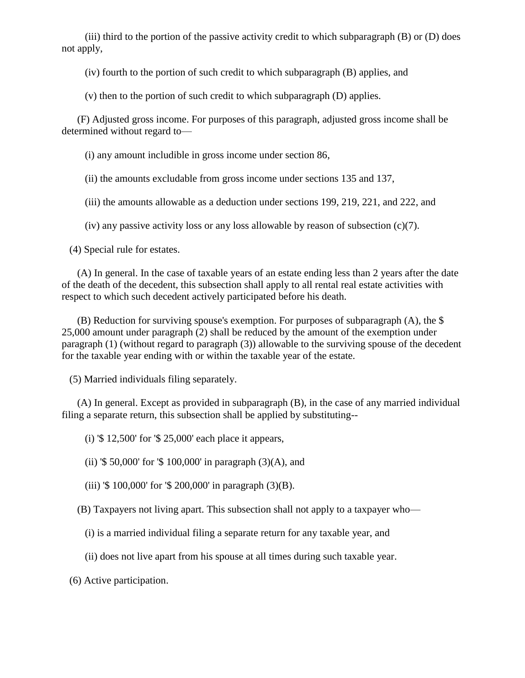(iii) third to the portion of the passive activity credit to which subparagraph  $(B)$  or  $(D)$  does not apply,

(iv) fourth to the portion of such credit to which subparagraph (B) applies, and

(v) then to the portion of such credit to which subparagraph (D) applies.

 (F) Adjusted gross income. For purposes of this paragraph, adjusted gross income shall be determined without regard to—

(i) any amount includible in gross income under section 86,

(ii) the amounts excludable from gross income under sections 135 and 137,

(iii) the amounts allowable as a deduction under sections 199, 219, 221, and 222, and

(iv) any passive activity loss or any loss allowable by reason of subsection (c)(7).

(4) Special rule for estates.

 (A) In general. In the case of taxable years of an estate ending less than 2 years after the date of the death of the decedent, this subsection shall apply to all rental real estate activities with respect to which such decedent actively participated before his death.

 (B) Reduction for surviving spouse's exemption. For purposes of subparagraph (A), the \$ 25,000 amount under paragraph (2) shall be reduced by the amount of the exemption under paragraph (1) (without regard to paragraph (3)) allowable to the surviving spouse of the decedent for the taxable year ending with or within the taxable year of the estate.

(5) Married individuals filing separately.

 (A) In general. Except as provided in subparagraph (B), in the case of any married individual filing a separate return, this subsection shall be applied by substituting--

(i) '\$ 12,500' for '\$ 25,000' each place it appears,

(ii) '\$ 50,000' for '\$ 100,000' in paragraph  $(3)(A)$ , and

(iii) '\$ 100,000' for '\$ 200,000' in paragraph (3)(B).

(B) Taxpayers not living apart. This subsection shall not apply to a taxpayer who—

(i) is a married individual filing a separate return for any taxable year, and

(ii) does not live apart from his spouse at all times during such taxable year.

(6) Active participation.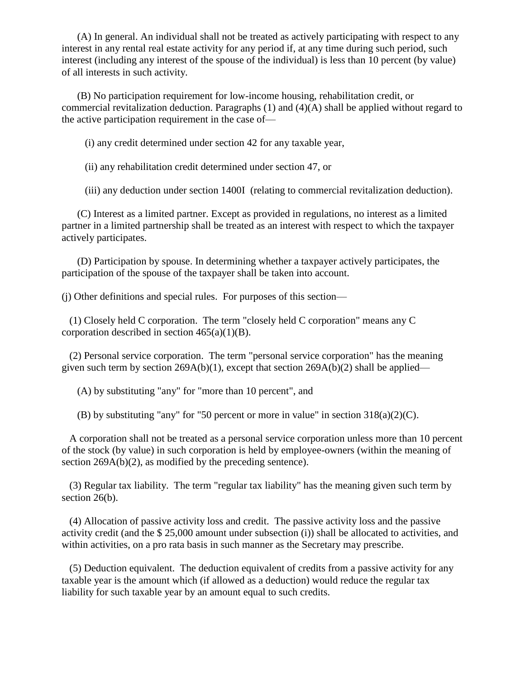(A) In general. An individual shall not be treated as actively participating with respect to any interest in any rental real estate activity for any period if, at any time during such period, such interest (including any interest of the spouse of the individual) is less than 10 percent (by value) of all interests in such activity.

 (B) No participation requirement for low-income housing, rehabilitation credit, or commercial revitalization deduction. Paragraphs  $(1)$  and  $(4)(A)$  shall be applied without regard to the active participation requirement in the case of—

(i) any credit determined under section 42 for any taxable year,

(ii) any rehabilitation credit determined under section 47, or

(iii) any deduction under section 1400I (relating to commercial revitalization deduction).

 (C) Interest as a limited partner. Except as provided in regulations, no interest as a limited partner in a limited partnership shall be treated as an interest with respect to which the taxpayer actively participates.

 (D) Participation by spouse. In determining whether a taxpayer actively participates, the participation of the spouse of the taxpayer shall be taken into account.

(j) Other definitions and special rules. For purposes of this section—

 (1) Closely held C corporation. The term "closely held C corporation" means any C corporation described in section  $465(a)(1)(B)$ .

 (2) Personal service corporation. The term "personal service corporation" has the meaning given such term by section  $269A(b)(1)$ , except that section  $269A(b)(2)$  shall be applied—

(A) by substituting "any" for "more than 10 percent", and

(B) by substituting "any" for "50 percent or more in value" in section  $318(a)(2)(C)$ .

 A corporation shall not be treated as a personal service corporation unless more than 10 percent of the stock (by value) in such corporation is held by employee-owners (within the meaning of section 269A(b)(2), as modified by the preceding sentence).

 (3) Regular tax liability. The term "regular tax liability" has the meaning given such term by section 26(b).

 (4) Allocation of passive activity loss and credit. The passive activity loss and the passive activity credit (and the \$ 25,000 amount under subsection (i)) shall be allocated to activities, and within activities, on a pro rata basis in such manner as the Secretary may prescribe.

 (5) Deduction equivalent. The deduction equivalent of credits from a passive activity for any taxable year is the amount which (if allowed as a deduction) would reduce the regular tax liability for such taxable year by an amount equal to such credits.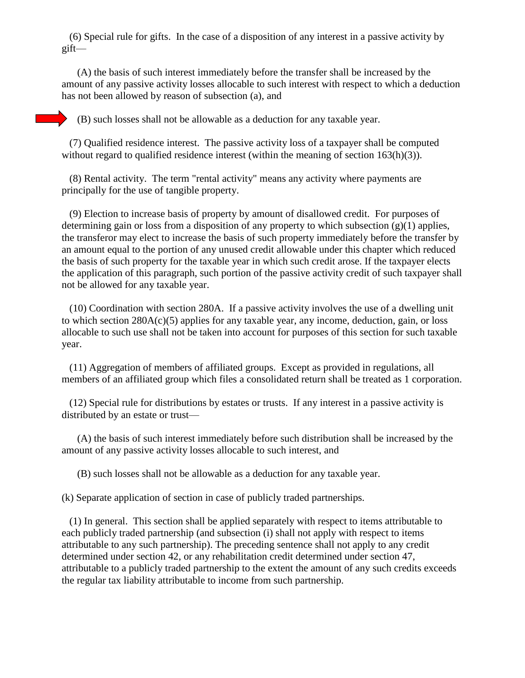(6) Special rule for gifts. In the case of a disposition of any interest in a passive activity by gift—

 (A) the basis of such interest immediately before the transfer shall be increased by the amount of any passive activity losses allocable to such interest with respect to which a deduction has not been allowed by reason of subsection (a), and

(B) such losses shall not be allowable as a deduction for any taxable year.

 (7) Qualified residence interest. The passive activity loss of a taxpayer shall be computed without regard to qualified residence interest (within the meaning of section 163(h)(3)).

 (8) Rental activity. The term "rental activity" means any activity where payments are principally for the use of tangible property.

 (9) Election to increase basis of property by amount of disallowed credit. For purposes of determining gain or loss from a disposition of any property to which subsection  $(g)(1)$  applies, the transferor may elect to increase the basis of such property immediately before the transfer by an amount equal to the portion of any unused credit allowable under this chapter which reduced the basis of such property for the taxable year in which such credit arose. If the taxpayer elects the application of this paragraph, such portion of the passive activity credit of such taxpayer shall not be allowed for any taxable year.

 (10) Coordination with section 280A. If a passive activity involves the use of a dwelling unit to which section  $280A(c)(5)$  applies for any taxable year, any income, deduction, gain, or loss allocable to such use shall not be taken into account for purposes of this section for such taxable year.

 (11) Aggregation of members of affiliated groups. Except as provided in regulations, all members of an affiliated group which files a consolidated return shall be treated as 1 corporation.

 (12) Special rule for distributions by estates or trusts. If any interest in a passive activity is distributed by an estate or trust—

 (A) the basis of such interest immediately before such distribution shall be increased by the amount of any passive activity losses allocable to such interest, and

(B) such losses shall not be allowable as a deduction for any taxable year.

(k) Separate application of section in case of publicly traded partnerships.

 (1) In general. This section shall be applied separately with respect to items attributable to each publicly traded partnership (and subsection (i) shall not apply with respect to items attributable to any such partnership). The preceding sentence shall not apply to any credit determined under section 42, or any rehabilitation credit determined under section 47, attributable to a publicly traded partnership to the extent the amount of any such credits exceeds the regular tax liability attributable to income from such partnership.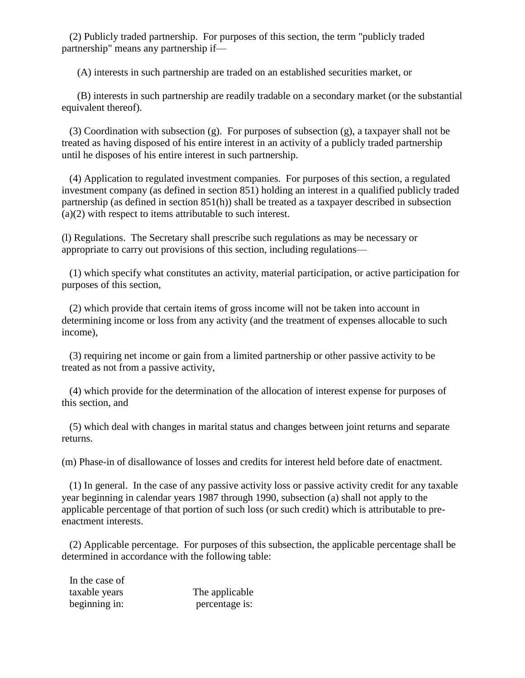(2) Publicly traded partnership. For purposes of this section, the term "publicly traded partnership" means any partnership if—

(A) interests in such partnership are traded on an established securities market, or

 (B) interests in such partnership are readily tradable on a secondary market (or the substantial equivalent thereof).

 (3) Coordination with subsection (g). For purposes of subsection (g), a taxpayer shall not be treated as having disposed of his entire interest in an activity of a publicly traded partnership until he disposes of his entire interest in such partnership.

 (4) Application to regulated investment companies. For purposes of this section, a regulated investment company (as defined in section 851) holding an interest in a qualified publicly traded partnership (as defined in section 851(h)) shall be treated as a taxpayer described in subsection (a)(2) with respect to items attributable to such interest.

(l) Regulations. The Secretary shall prescribe such regulations as may be necessary or appropriate to carry out provisions of this section, including regulations—

 (1) which specify what constitutes an activity, material participation, or active participation for purposes of this section,

 (2) which provide that certain items of gross income will not be taken into account in determining income or loss from any activity (and the treatment of expenses allocable to such income),

 (3) requiring net income or gain from a limited partnership or other passive activity to be treated as not from a passive activity,

 (4) which provide for the determination of the allocation of interest expense for purposes of this section, and

 (5) which deal with changes in marital status and changes between joint returns and separate returns.

(m) Phase-in of disallowance of losses and credits for interest held before date of enactment.

 (1) In general. In the case of any passive activity loss or passive activity credit for any taxable year beginning in calendar years 1987 through 1990, subsection (a) shall not apply to the applicable percentage of that portion of such loss (or such credit) which is attributable to preenactment interests.

 (2) Applicable percentage. For purposes of this subsection, the applicable percentage shall be determined in accordance with the following table:

 In the case of taxable years The applicable beginning in: percentage is: